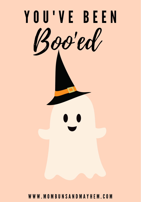

W W W . M O M B U N S A N D M A Y H E M .C O M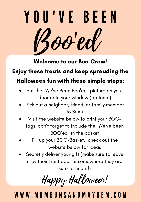# Y O U ' V E B E E N Boo'ed

Welcome to our Boo-Crew!

#### Enjoy these treats and keep spreading the

### Halloween fun with these simple steps:

- Put the "We've Been Boo'ed" picture on your door or in your window (optional)
- Pick out a neighbor, friend, or family member to BOO
- Visit the website below to print your BOOtags, don't forget to include the "We've been BOO'ed" in the basket
- Fill up your BOO-Basket, check out the website below for ideas
- Secretly deliver your gift (make sure to leave it by their front door or somewhere they are sure to find it!)

Happy Halloween!

# W W W .M O M B U N S A N D M A Y H E M . C O M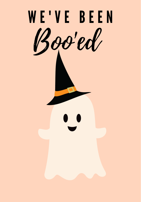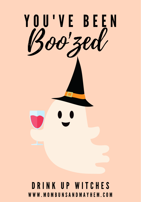

## D R I N K U P W I T C H E S W W W . M O M B U N S A N D M A Y H E M .C O M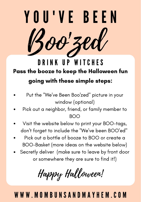

Pass the booze to keep the Halloween fun going with these simple steps: DRINK UP WITCHES

- Put the "We've Been Boo'zed" picture in your window (optional)
- Pick out a neighbor, friend, or family member to BOO
- Visit the website below to print your BOO-tags, don't forget to include the "We've been BOO'ed"
- Pick out a bottle of booze to BOO or create a BOO-Basket (more ideas on the website below)
- Secretly deliver (make sure to leave by front door or somewhere they are sure to find it!)

Happy Halloween!

## W W W .M O M B U N S A N D M A Y H E M . C O M